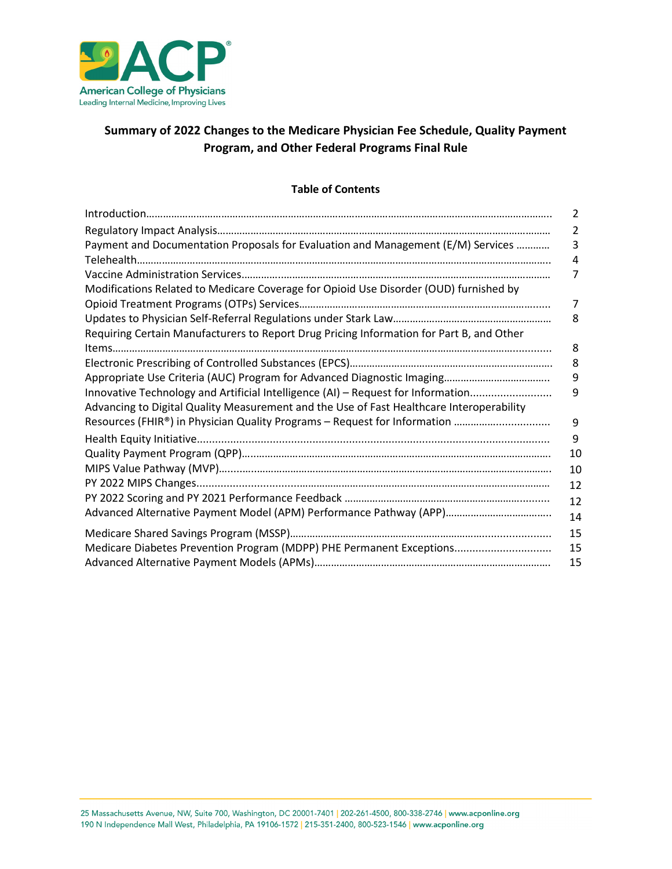

# **Summary of 2022 Changes to the Medicare Physician Fee Schedule, Quality Payment Program, and Other Federal Programs Final Rule**

### **Table of Contents**

| $\label{lem:1} \textit{Introduction} \textit{} \textit{} \textit{} \textit{} \textit{} \textit{} \textit{} \textit{} \textit{} \textit{} \textit{} \textit{} \textit{} \textit{} \textit{} \textit{} \textit{} \textit{} \textit{} \textit{} \textit{} \textit{} \textit{} \textit{} \textit{} \textit{} \textit{} \textit{} \textit{} \textit{} \textit{} \textit{} \textit{} \textit{} \textit$ | 2  |
|---------------------------------------------------------------------------------------------------------------------------------------------------------------------------------------------------------------------------------------------------------------------------------------------------------------------------------------------------------------------------------------------------|----|
|                                                                                                                                                                                                                                                                                                                                                                                                   | 2  |
| Payment and Documentation Proposals for Evaluation and Management (E/M) Services                                                                                                                                                                                                                                                                                                                  | 3  |
|                                                                                                                                                                                                                                                                                                                                                                                                   | 4  |
|                                                                                                                                                                                                                                                                                                                                                                                                   | 7  |
| Modifications Related to Medicare Coverage for Opioid Use Disorder (OUD) furnished by                                                                                                                                                                                                                                                                                                             |    |
|                                                                                                                                                                                                                                                                                                                                                                                                   | 7  |
|                                                                                                                                                                                                                                                                                                                                                                                                   | 8  |
| Requiring Certain Manufacturers to Report Drug Pricing Information for Part B, and Other                                                                                                                                                                                                                                                                                                          |    |
|                                                                                                                                                                                                                                                                                                                                                                                                   | 8  |
|                                                                                                                                                                                                                                                                                                                                                                                                   | 8  |
|                                                                                                                                                                                                                                                                                                                                                                                                   | 9  |
| Innovative Technology and Artificial Intelligence (AI) - Request for Information                                                                                                                                                                                                                                                                                                                  | 9  |
| Advancing to Digital Quality Measurement and the Use of Fast Healthcare Interoperability                                                                                                                                                                                                                                                                                                          |    |
| Resources (FHIR®) in Physician Quality Programs - Request for Information                                                                                                                                                                                                                                                                                                                         | 9  |
|                                                                                                                                                                                                                                                                                                                                                                                                   | 9  |
|                                                                                                                                                                                                                                                                                                                                                                                                   | 10 |
|                                                                                                                                                                                                                                                                                                                                                                                                   | 10 |
|                                                                                                                                                                                                                                                                                                                                                                                                   | 12 |
|                                                                                                                                                                                                                                                                                                                                                                                                   | 12 |
|                                                                                                                                                                                                                                                                                                                                                                                                   | 14 |
|                                                                                                                                                                                                                                                                                                                                                                                                   | 15 |
| Medicare Diabetes Prevention Program (MDPP) PHE Permanent Exceptions                                                                                                                                                                                                                                                                                                                              | 15 |
|                                                                                                                                                                                                                                                                                                                                                                                                   | 15 |
|                                                                                                                                                                                                                                                                                                                                                                                                   |    |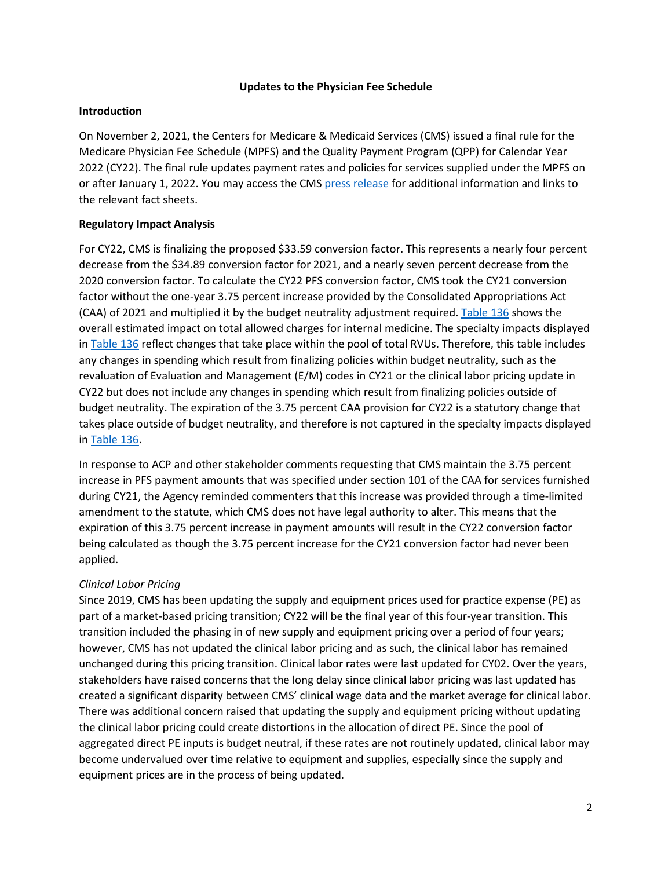#### **Updates to the Physician Fee Schedule**

#### **Introduction**

On November 2, 2021, the Centers for Medicare & Medicaid Services (CMS) issued a final rule for the Medicare Physician Fee Schedule (MPFS) and the Quality Payment Program (QPP) for Calendar Year 2022 (CY22). The final rule updates payment rates and policies for services supplied under the MPFS on or after January 1, 2022. You may access the CMS [press release](https://www.cms.gov/newsroom/fact-sheets/calendar-year-cy-2022-medicare-physician-fee-schedule-final-rule) for additional information and links to the relevant fact sheets.

### **Regulatory Impact Analysis**

For CY22, CMS is finalizing the proposed \$33.59 conversion factor. This represents a nearly four percent decrease from the \$34.89 conversion factor for 2021, and a nearly seven percent decrease from the 2020 conversion factor. To calculate the CY22 PFS conversion factor, CMS took the CY21 conversion factor without the one-year 3.75 percent increase provided by the Consolidated Appropriations Act (CAA) of 2021 and multiplied it by the budget neutrality adjustment required. [Table 136](https://www.federalregister.gov/documents/2021/11/19/2021-23972/medicare-program-cy-2022-payment-policies-under-the-physician-fee-schedule-and-other-changes-to-part#page-65620) shows the overall estimated impact on total allowed charges for internal medicine. The specialty impacts displayed in [Table 136](https://www.federalregister.gov/documents/2021/11/19/2021-23972/medicare-program-cy-2022-payment-policies-under-the-physician-fee-schedule-and-other-changes-to-part#page-65620) reflect changes that take place within the pool of total RVUs. Therefore, this table includes any changes in spending which result from finalizing policies within budget neutrality, such as the revaluation of Evaluation and Management (E/M) codes in CY21 or the clinical labor pricing update in CY22 but does not include any changes in spending which result from finalizing policies outside of budget neutrality. The expiration of the 3.75 percent CAA provision for CY22 is a statutory change that takes place outside of budget neutrality, and therefore is not captured in the specialty impacts displayed in [Table 136.](https://www.federalregister.gov/documents/2021/11/19/2021-23972/medicare-program-cy-2022-payment-policies-under-the-physician-fee-schedule-and-other-changes-to-part#page-65620)

In response to ACP and other stakeholder comments requesting that CMS maintain the 3.75 percent increase in PFS payment amounts that was specified under section 101 of the CAA for services furnished during CY21, the Agency reminded commenters that this increase was provided through a time-limited amendment to the statute, which CMS does not have legal authority to alter. This means that the expiration of this 3.75 percent increase in payment amounts will result in the CY22 conversion factor being calculated as though the 3.75 percent increase for the CY21 conversion factor had never been applied.

### *Clinical Labor Pricing*

Since 2019, CMS has been updating the supply and equipment prices used for practice expense (PE) as part of a market-based pricing transition; CY22 will be the final year of this four-year transition. This transition included the phasing in of new supply and equipment pricing over a period of four years; however, CMS has not updated the clinical labor pricing and as such, the clinical labor has remained unchanged during this pricing transition. Clinical labor rates were last updated for CY02. Over the years, stakeholders have raised concerns that the long delay since clinical labor pricing was last updated has created a significant disparity between CMS' clinical wage data and the market average for clinical labor. There was additional concern raised that updating the supply and equipment pricing without updating the clinical labor pricing could create distortions in the allocation of direct PE. Since the pool of aggregated direct PE inputs is budget neutral, if these rates are not routinely updated, clinical labor may become undervalued over time relative to equipment and supplies, especially since the supply and equipment prices are in the process of being updated.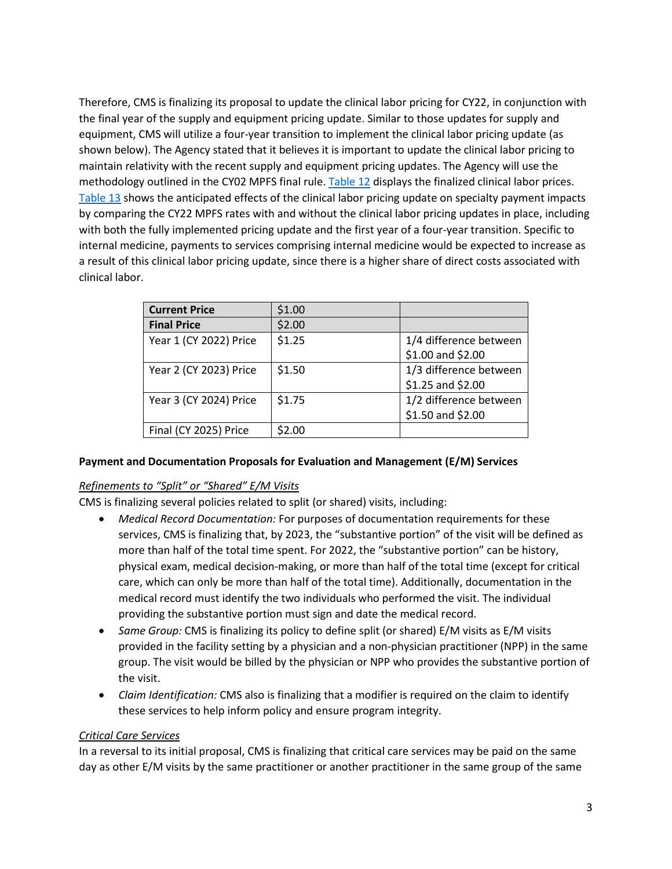Therefore, CMS is finalizing its proposal to update the clinical labor pricing for CY22, in conjunction with the final year of the supply and equipment pricing update. Similar to those updates for supply and equipment, CMS will utilize a four-year transition to implement the clinical labor pricing update (as shown below). The Agency stated that it believes it is important to update the clinical labor pricing to maintain relativity with the recent supply and equipment pricing updates. The Agency will use the methodology outlined in the CY02 MPFS final rule[. Table 12](https://www.federalregister.gov/documents/2021/11/19/2021-23972/medicare-program-cy-2022-payment-policies-under-the-physician-fee-schedule-and-other-changes-to-part#page-65034) displays the finalized clinical labor prices. [Table 13](https://www.federalregister.gov/documents/2021/11/19/2021-23972/medicare-program-cy-2022-payment-policies-under-the-physician-fee-schedule-and-other-changes-to-part#page-65036) shows the anticipated effects of the clinical labor pricing update on specialty payment impacts by comparing the CY22 MPFS rates with and without the clinical labor pricing updates in place, including with both the fully implemented pricing update and the first year of a four-year transition. Specific to internal medicine, payments to services comprising internal medicine would be expected to increase as a result of this clinical labor pricing update, since there is a higher share of direct costs associated with clinical labor.

| <b>Current Price</b>   | \$1.00 |                                             |
|------------------------|--------|---------------------------------------------|
| <b>Final Price</b>     | \$2.00 |                                             |
| Year 1 (CY 2022) Price | \$1.25 | 1/4 difference between<br>\$1.00 and \$2.00 |
| Year 2 (CY 2023) Price | \$1.50 | 1/3 difference between<br>\$1.25 and \$2.00 |
| Year 3 (CY 2024) Price | \$1.75 | 1/2 difference between<br>\$1.50 and \$2.00 |
| Final (CY 2025) Price  | \$2.00 |                                             |

## **Payment and Documentation Proposals for Evaluation and Management (E/M) Services**

### *Refinements to "Split" or "Shared" E/M Visits*

CMS is finalizing several policies related to split (or shared) visits, including:

- *Medical Record Documentation:* For purposes of documentation requirements for these services, CMS is finalizing that, by 2023, the "substantive portion" of the visit will be defined as more than half of the total time spent. For 2022, the "substantive portion" can be history, physical exam, medical decision-making, or more than half of the total time (except for critical care, which can only be more than half of the total time). Additionally, documentation in the medical record must identify the two individuals who performed the visit. The individual providing the substantive portion must sign and date the medical record.
- *Same Group:* CMS is finalizing its policy to define split (or shared) E/M visits as E/M visits provided in the facility setting by a physician and a non-physician practitioner (NPP) in the same group. The visit would be billed by the physician or NPP who provides the substantive portion of the visit.
- *Claim Identification:* CMS also is finalizing that a modifier is required on the claim to identify these services to help inform policy and ensure program integrity.

### *Critical Care Services*

In a reversal to its initial proposal, CMS is finalizing that critical care services may be paid on the same day as other E/M visits by the same practitioner or another practitioner in the same group of the same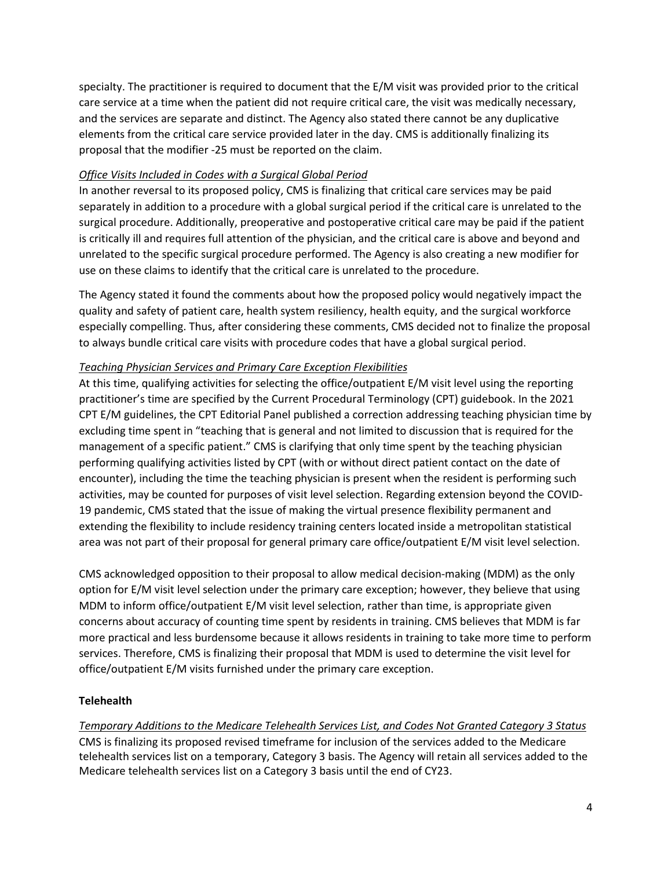specialty. The practitioner is required to document that the E/M visit was provided prior to the critical care service at a time when the patient did not require critical care, the visit was medically necessary, and the services are separate and distinct. The Agency also stated there cannot be any duplicative elements from the critical care service provided later in the day. CMS is additionally finalizing its proposal that the modifier -25 must be reported on the claim.

### *Office Visits Included in Codes with a Surgical Global Period*

In another reversal to its proposed policy, CMS is finalizing that critical care services may be paid separately in addition to a procedure with a global surgical period if the critical care is unrelated to the surgical procedure. Additionally, preoperative and postoperative critical care may be paid if the patient is critically ill and requires full attention of the physician, and the critical care is above and beyond and unrelated to the specific surgical procedure performed. The Agency is also creating a new modifier for use on these claims to identify that the critical care is unrelated to the procedure.

The Agency stated it found the comments about how the proposed policy would negatively impact the quality and safety of patient care, health system resiliency, health equity, and the surgical workforce especially compelling. Thus, after considering these comments, CMS decided not to finalize the proposal to always bundle critical care visits with procedure codes that have a global surgical period.

## *Teaching Physician Services and Primary Care Exception Flexibilities*

At this time, qualifying activities for selecting the office/outpatient E/M visit level using the reporting practitioner's time are specified by the Current Procedural Terminology (CPT) guidebook. In the 2021 CPT E/M guidelines, the CPT Editorial Panel published a correction addressing teaching physician time by excluding time spent in "teaching that is general and not limited to discussion that is required for the management of a specific patient." CMS is clarifying that only time spent by the teaching physician performing qualifying activities listed by CPT (with or without direct patient contact on the date of encounter), including the time the teaching physician is present when the resident is performing such activities, may be counted for purposes of visit level selection. Regarding extension beyond the COVID-19 pandemic, CMS stated that the issue of making the virtual presence flexibility permanent and extending the flexibility to include residency training centers located inside a metropolitan statistical area was not part of their proposal for general primary care office/outpatient E/M visit level selection.

CMS acknowledged opposition to their proposal to allow medical decision-making (MDM) as the only option for E/M visit level selection under the primary care exception; however, they believe that using MDM to inform office/outpatient E/M visit level selection, rather than time, is appropriate given concerns about accuracy of counting time spent by residents in training. CMS believes that MDM is far more practical and less burdensome because it allows residents in training to take more time to perform services. Therefore, CMS is finalizing their proposal that MDM is used to determine the visit level for office/outpatient E/M visits furnished under the primary care exception.

## **Telehealth**

*Temporary Additions to the Medicare Telehealth Services List, and Codes Not Granted Category 3 Status* CMS is finalizing its proposed revised timeframe for inclusion of the services added to the Medicare telehealth services list on a temporary, Category 3 basis. The Agency will retain all services added to the Medicare telehealth services list on a Category 3 basis until the end of CY23.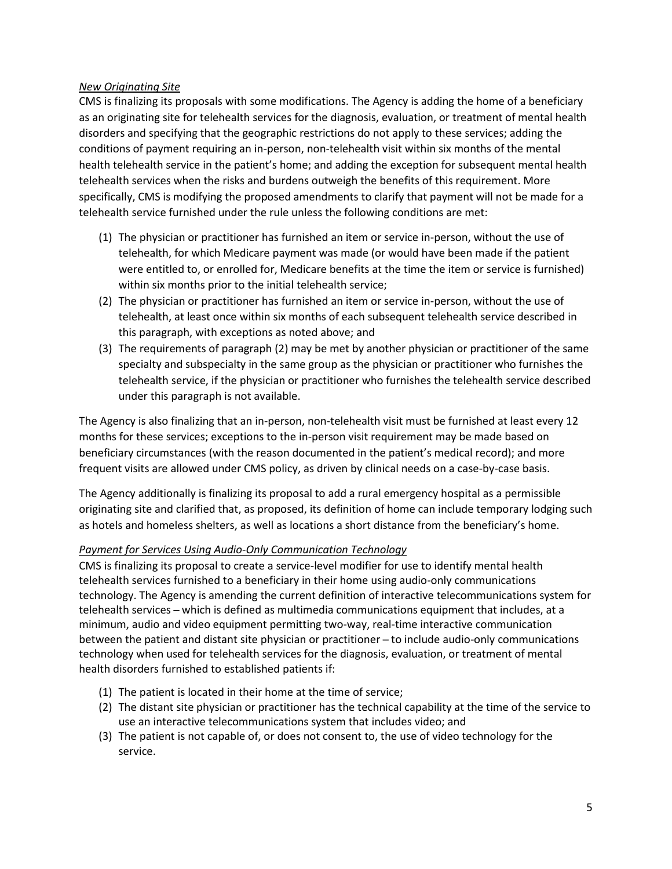### *New Originating Site*

CMS is finalizing its proposals with some modifications. The Agency is adding the home of a beneficiary as an originating site for telehealth services for the diagnosis, evaluation, or treatment of mental health disorders and specifying that the geographic restrictions do not apply to these services; adding the conditions of payment requiring an in-person, non-telehealth visit within six months of the mental health telehealth service in the patient's home; and adding the exception for subsequent mental health telehealth services when the risks and burdens outweigh the benefits of this requirement. More specifically, CMS is modifying the proposed amendments to clarify that payment will not be made for a telehealth service furnished under the rule unless the following conditions are met:

- (1) The physician or practitioner has furnished an item or service in-person, without the use of telehealth, for which Medicare payment was made (or would have been made if the patient were entitled to, or enrolled for, Medicare benefits at the time the item or service is furnished) within six months prior to the initial telehealth service;
- (2) The physician or practitioner has furnished an item or service in-person, without the use of telehealth, at least once within six months of each subsequent telehealth service described in this paragraph, with exceptions as noted above; and
- (3) The requirements of paragraph (2) may be met by another physician or practitioner of the same specialty and subspecialty in the same group as the physician or practitioner who furnishes the telehealth service, if the physician or practitioner who furnishes the telehealth service described under this paragraph is not available.

The Agency is also finalizing that an in-person, non-telehealth visit must be furnished at least every 12 months for these services; exceptions to the in-person visit requirement may be made based on beneficiary circumstances (with the reason documented in the patient's medical record); and more frequent visits are allowed under CMS policy, as driven by clinical needs on a case-by-case basis.

The Agency additionally is finalizing its proposal to add a rural emergency hospital as a permissible originating site and clarified that, as proposed, its definition of home can include temporary lodging such as hotels and homeless shelters, as well as locations a short distance from the beneficiary's home.

### *Payment for Services Using Audio-Only Communication Technology*

CMS is finalizing its proposal to create a service-level modifier for use to identify mental health telehealth services furnished to a beneficiary in their home using audio-only communications technology. The Agency is amending the current definition of interactive telecommunications system for telehealth services ̶ which is defined as multimedia communications equipment that includes, at a minimum, audio and video equipment permitting two-way, real-time interactive communication between the patient and distant site physician or practitioner ̶ to include audio-only communications technology when used for telehealth services for the diagnosis, evaluation, or treatment of mental health disorders furnished to established patients if:

- (1) The patient is located in their home at the time of service;
- (2) The distant site physician or practitioner has the technical capability at the time of the service to use an interactive telecommunications system that includes video; and
- (3) The patient is not capable of, or does not consent to, the use of video technology for the service.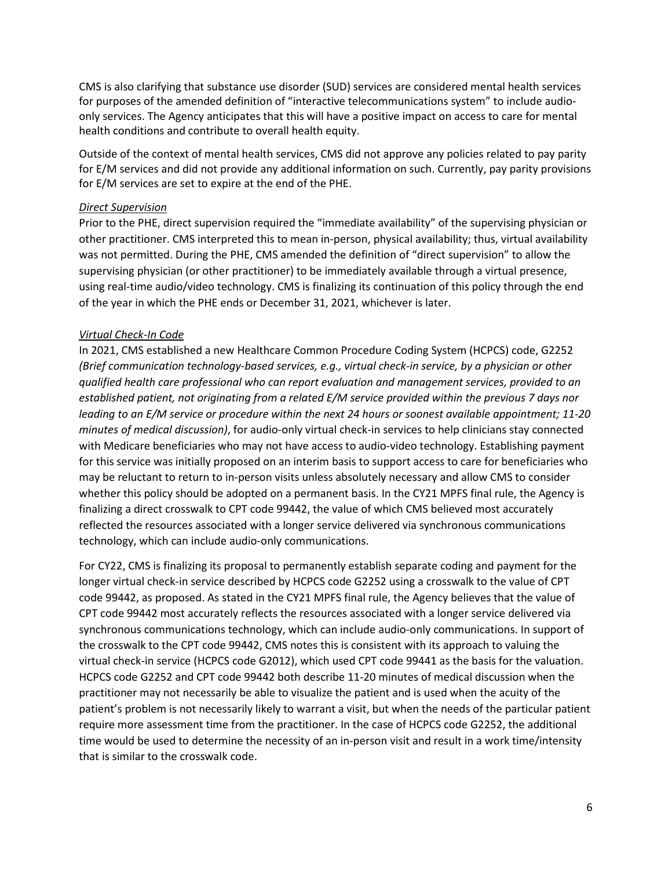CMS is also clarifying that substance use disorder (SUD) services are considered mental health services for purposes of the amended definition of "interactive telecommunications system" to include audioonly services. The Agency anticipates that this will have a positive impact on access to care for mental health conditions and contribute to overall health equity.

Outside of the context of mental health services, CMS did not approve any policies related to pay parity for E/M services and did not provide any additional information on such. Currently, pay parity provisions for E/M services are set to expire at the end of the PHE.

#### *Direct Supervision*

Prior to the PHE, direct supervision required the "immediate availability" of the supervising physician or other practitioner. CMS interpreted this to mean in-person, physical availability; thus, virtual availability was not permitted. During the PHE, CMS amended the definition of "direct supervision" to allow the supervising physician (or other practitioner) to be immediately available through a virtual presence, using real-time audio/video technology. CMS is finalizing its continuation of this policy through the end of the year in which the PHE ends or December 31, 2021, whichever is later.

### *Virtual Check-In Code*

In 2021, CMS established a new Healthcare Common Procedure Coding System (HCPCS) code, G2252 *(Brief communication technology-based services, e.g., virtual check-in service, by a physician or other qualified health care professional who can report evaluation and management services, provided to an established patient, not originating from a related E/M service provided within the previous 7 days nor leading to an E/M service or procedure within the next 24 hours or soonest available appointment; 11-20 minutes of medical discussion)*, for audio-only virtual check-in services to help clinicians stay connected with Medicare beneficiaries who may not have access to audio-video technology. Establishing payment for this service was initially proposed on an interim basis to support access to care for beneficiaries who may be reluctant to return to in-person visits unless absolutely necessary and allow CMS to consider whether this policy should be adopted on a permanent basis. In the CY21 MPFS final rule, the Agency is finalizing a direct crosswalk to CPT code 99442, the value of which CMS believed most accurately reflected the resources associated with a longer service delivered via synchronous communications technology, which can include audio-only communications.

For CY22, CMS is finalizing its proposal to permanently establish separate coding and payment for the longer virtual check-in service described by HCPCS code G2252 using a crosswalk to the value of CPT code 99442, as proposed. As stated in the CY21 MPFS final rule, the Agency believes that the value of CPT code 99442 most accurately reflects the resources associated with a longer service delivered via synchronous communications technology, which can include audio-only communications. In support of the crosswalk to the CPT code 99442, CMS notes this is consistent with its approach to valuing the virtual check-in service (HCPCS code G2012), which used CPT code 99441 as the basis for the valuation. HCPCS code G2252 and CPT code 99442 both describe 11-20 minutes of medical discussion when the practitioner may not necessarily be able to visualize the patient and is used when the acuity of the patient's problem is not necessarily likely to warrant a visit, but when the needs of the particular patient require more assessment time from the practitioner. In the case of HCPCS code G2252, the additional time would be used to determine the necessity of an in-person visit and result in a work time/intensity that is similar to the crosswalk code.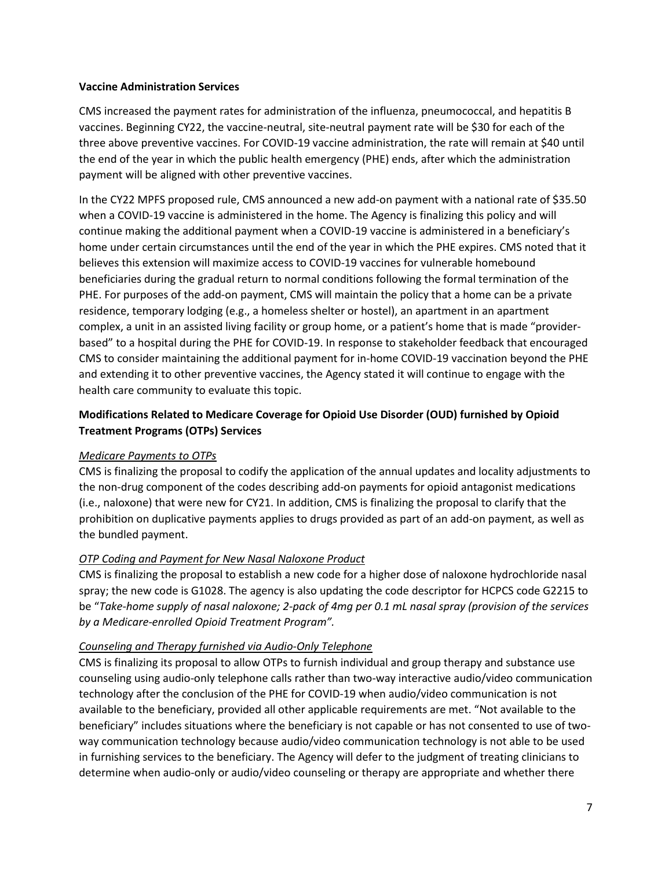### **Vaccine Administration Services**

CMS increased the payment rates for administration of the influenza, pneumococcal, and hepatitis B vaccines. Beginning CY22, the vaccine-neutral, site-neutral payment rate will be \$30 for each of the three above preventive vaccines. For COVID-19 vaccine administration, the rate will remain at \$40 until the end of the year in which the public health emergency (PHE) ends, after which the administration payment will be aligned with other preventive vaccines.

In the CY22 MPFS proposed rule, CMS announced a new add-on payment with a national rate of \$35.50 when a COVID-19 vaccine is administered in the home. The Agency is finalizing this policy and will continue making the additional payment when a COVID-19 vaccine is administered in a beneficiary's home under certain circumstances until the end of the year in which the PHE expires. CMS noted that it believes this extension will maximize access to COVID-19 vaccines for vulnerable homebound beneficiaries during the gradual return to normal conditions following the formal termination of the PHE. For purposes of the add-on payment, CMS will maintain the policy that a home can be a private residence, temporary lodging (e.g., a homeless shelter or hostel), an apartment in an apartment complex, a unit in an assisted living facility or group home, or a patient's home that is made "providerbased" to a hospital during the PHE for COVID-19. In response to stakeholder feedback that encouraged CMS to consider maintaining the additional payment for in-home COVID-19 vaccination beyond the PHE and extending it to other preventive vaccines, the Agency stated it will continue to engage with the health care community to evaluate this topic.

## **Modifications Related to Medicare Coverage for Opioid Use Disorder (OUD) furnished by Opioid Treatment Programs (OTPs) Services**

### *Medicare Payments to OTPs*

CMS is finalizing the proposal to codify the application of the annual updates and locality adjustments to the non-drug component of the codes describing add-on payments for opioid antagonist medications (i.e., naloxone) that were new for CY21. In addition, CMS is finalizing the proposal to clarify that the prohibition on duplicative payments applies to drugs provided as part of an add-on payment, as well as the bundled payment.

## *OTP Coding and Payment for New Nasal Naloxone Product*

CMS is finalizing the proposal to establish a new code for a higher dose of naloxone hydrochloride nasal spray; the new code is G1028. The agency is also updating the code descriptor for HCPCS code G2215 to be "*Take-home supply of nasal naloxone; 2-pack of 4mg per 0.1 mL nasal spray (provision of the services by a Medicare-enrolled Opioid Treatment Program".*

### *Counseling and Therapy furnished via Audio-Only Telephone*

CMS is finalizing its proposal to allow OTPs to furnish individual and group therapy and substance use counseling using audio-only telephone calls rather than two-way interactive audio/video communication technology after the conclusion of the PHE for COVID-19 when audio/video communication is not available to the beneficiary, provided all other applicable requirements are met. "Not available to the beneficiary" includes situations where the beneficiary is not capable or has not consented to use of twoway communication technology because audio/video communication technology is not able to be used in furnishing services to the beneficiary. The Agency will defer to the judgment of treating clinicians to determine when audio-only or audio/video counseling or therapy are appropriate and whether there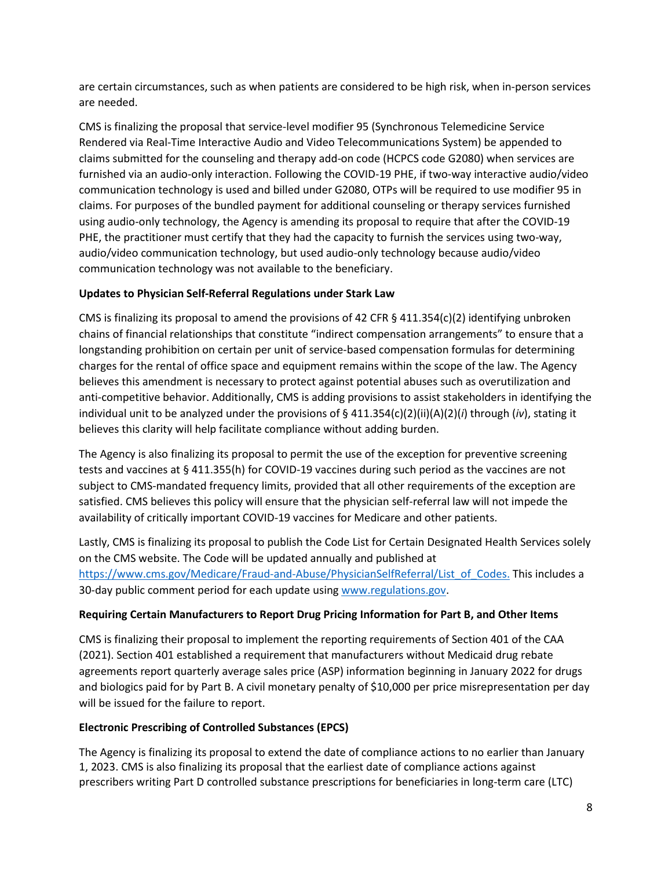are certain circumstances, such as when patients are considered to be high risk, when in-person services are needed.

CMS is finalizing the proposal that service-level modifier 95 (Synchronous Telemedicine Service Rendered via Real-Time Interactive Audio and Video Telecommunications System) be appended to claims submitted for the counseling and therapy add-on code (HCPCS code G2080) when services are furnished via an audio-only interaction. Following the COVID-19 PHE, if two-way interactive audio/video communication technology is used and billed under G2080, OTPs will be required to use modifier 95 in claims. For purposes of the bundled payment for additional counseling or therapy services furnished using audio-only technology, the Agency is amending its proposal to require that after the COVID-19 PHE, the practitioner must certify that they had the capacity to furnish the services using two-way, audio/video communication technology, but used audio-only technology because audio/video communication technology was not available to the beneficiary.

## **Updates to Physician Self-Referral Regulations under Stark Law**

CMS is finalizing its proposal to amend the provisions of 42 CFR  $\S$  411.354(c)(2) identifying unbroken chains of financial relationships that constitute "indirect compensation arrangements" to ensure that a longstanding prohibition on certain per unit of service-based compensation formulas for determining charges for the rental of office space and equipment remains within the scope of the law. The Agency believes this amendment is necessary to protect against potential abuses such as overutilization and anti-competitive behavior. Additionally, CMS is adding provisions to assist stakeholders in identifying the individual unit to be analyzed under the provisions of § 411.354(c)(2)(ii)(A)(2)(*i*) through (*iv*), stating it believes this clarity will help facilitate compliance without adding burden.

The Agency is also finalizing its proposal to permit the use of the exception for preventive screening tests and vaccines at § 411.355(h) for COVID-19 vaccines during such period as the vaccines are not subject to CMS-mandated frequency limits, provided that all other requirements of the exception are satisfied. CMS believes this policy will ensure that the physician self-referral law will not impede the availability of critically important COVID-19 vaccines for Medicare and other patients.

Lastly, CMS is finalizing its proposal to publish the Code List for Certain Designated Health Services solely on the CMS website. The Code will be updated annually and published at [https://www.cms.gov/Medicare/Fraud-and-Abuse/PhysicianSelfReferral/List\\_of\\_Codes.](https://www.cms.gov/Medicare/Fraud-and-Abuse/PhysicianSelfReferral/List_of_Codes.) This includes a 30-day public comment period for each update using [www.regulations.gov.](http://www.regulations.gov/)

## **Requiring Certain Manufacturers to Report Drug Pricing Information for Part B, and Other Items**

CMS is finalizing their proposal to implement the reporting requirements of Section 401 of the CAA (2021). Section 401 established a requirement that manufacturers without Medicaid drug rebate agreements report quarterly average sales price (ASP) information beginning in January 2022 for drugs and biologics paid for by Part B. A civil monetary penalty of \$10,000 per price misrepresentation per day will be issued for the failure to report.

## **Electronic Prescribing of Controlled Substances (EPCS)**

The Agency is finalizing its proposal to extend the date of compliance actions to no earlier than January 1, 2023. CMS is also finalizing its proposal that the earliest date of compliance actions against prescribers writing Part D controlled substance prescriptions for beneficiaries in long-term care (LTC)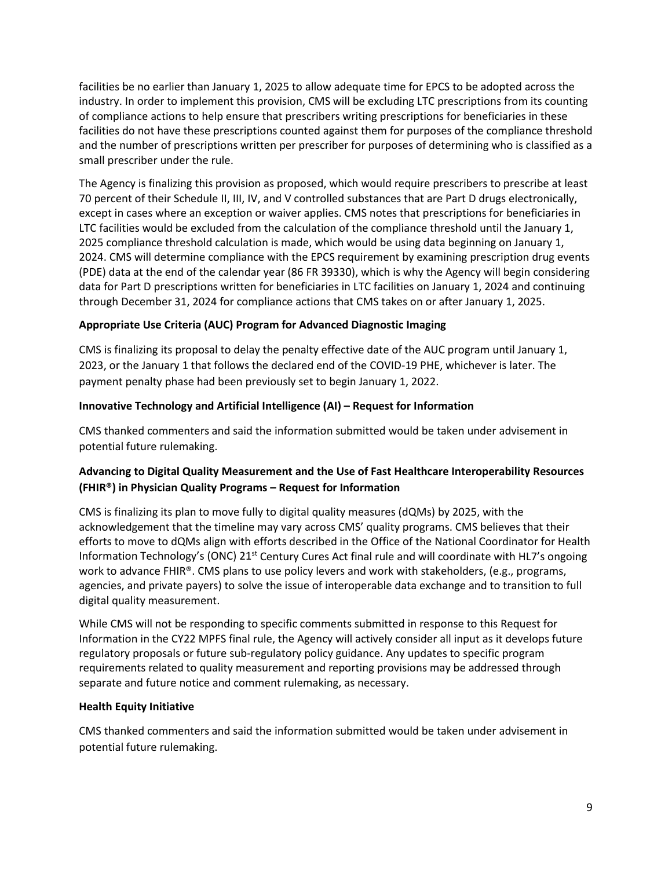facilities be no earlier than January 1, 2025 to allow adequate time for EPCS to be adopted across the industry. In order to implement this provision, CMS will be excluding LTC prescriptions from its counting of compliance actions to help ensure that prescribers writing prescriptions for beneficiaries in these facilities do not have these prescriptions counted against them for purposes of the compliance threshold and the number of prescriptions written per prescriber for purposes of determining who is classified as a small prescriber under the rule.

The Agency is finalizing this provision as proposed, which would require prescribers to prescribe at least 70 percent of their Schedule II, III, IV, and V controlled substances that are Part D drugs electronically, except in cases where an exception or waiver applies. CMS notes that prescriptions for beneficiaries in LTC facilities would be excluded from the calculation of the compliance threshold until the January 1, 2025 compliance threshold calculation is made, which would be using data beginning on January 1, 2024. CMS will determine compliance with the EPCS requirement by examining prescription drug events (PDE) data at the end of the calendar year (86 FR 39330), which is why the Agency will begin considering data for Part D prescriptions written for beneficiaries in LTC facilities on January 1, 2024 and continuing through December 31, 2024 for compliance actions that CMS takes on or after January 1, 2025.

## **Appropriate Use Criteria (AUC) Program for Advanced Diagnostic Imaging**

CMS is finalizing its proposal to delay the penalty effective date of the AUC program until January 1, 2023, or the January 1 that follows the declared end of the COVID-19 PHE, whichever is later. The payment penalty phase had been previously set to begin January 1, 2022.

### **Innovative Technology and Artificial Intelligence (AI) – Request for Information**

CMS thanked commenters and said the information submitted would be taken under advisement in potential future rulemaking.

## **Advancing to Digital Quality Measurement and the Use of Fast Healthcare Interoperability Resources (FHIR®) in Physician Quality Programs – Request for Information**

CMS is finalizing its plan to move fully to digital quality measures (dQMs) by 2025, with the acknowledgement that the timeline may vary across CMS' quality programs. CMS believes that their efforts to move to dQMs align with efforts described in the Office of the National Coordinator for Health Information Technology's (ONC) 21st Century Cures Act final rule and will coordinate with HL7's ongoing work to advance FHIR®. CMS plans to use policy levers and work with stakeholders, (e.g., programs, agencies, and private payers) to solve the issue of interoperable data exchange and to transition to full digital quality measurement.

While CMS will not be responding to specific comments submitted in response to this Request for Information in the CY22 MPFS final rule, the Agency will actively consider all input as it develops future regulatory proposals or future sub-regulatory policy guidance. Any updates to specific program requirements related to quality measurement and reporting provisions may be addressed through separate and future notice and comment rulemaking, as necessary.

### **Health Equity Initiative**

CMS thanked commenters and said the information submitted would be taken under advisement in potential future rulemaking.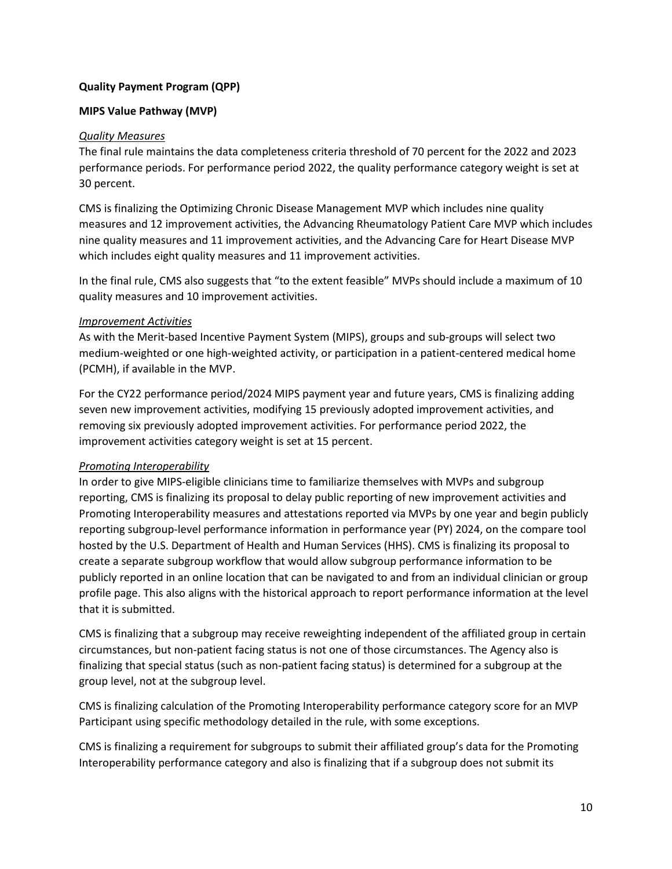## **Quality Payment Program (QPP)**

### **MIPS Value Pathway (MVP)**

### *Quality Measures*

The final rule maintains the data completeness criteria threshold of 70 percent for the 2022 and 2023 performance periods. For performance period 2022, the quality performance category weight is set at 30 percent.

CMS is finalizing the Optimizing Chronic Disease Management MVP which includes nine quality measures and 12 improvement activities, the Advancing Rheumatology Patient Care MVP which includes nine quality measures and 11 improvement activities, and the Advancing Care for Heart Disease MVP which includes eight quality measures and 11 improvement activities.

In the final rule, CMS also suggests that "to the extent feasible" MVPs should include a maximum of 10 quality measures and 10 improvement activities.

### *Improvement Activities*

As with the Merit-based Incentive Payment System (MIPS), groups and sub-groups will select two medium-weighted or one high-weighted activity, or participation in a patient-centered medical home (PCMH), if available in the MVP.

For the CY22 performance period/2024 MIPS payment year and future years, CMS is finalizing adding seven new improvement activities, modifying 15 previously adopted improvement activities, and removing six previously adopted improvement activities. For performance period 2022, the improvement activities category weight is set at 15 percent.

## *Promoting Interoperability*

In order to give MIPS-eligible clinicians time to familiarize themselves with MVPs and subgroup reporting, CMS is finalizing its proposal to delay public reporting of new improvement activities and Promoting Interoperability measures and attestations reported via MVPs by one year and begin publicly reporting subgroup-level performance information in performance year (PY) 2024, on the compare tool hosted by the U.S. Department of Health and Human Services (HHS). CMS is finalizing its proposal to create a separate subgroup workflow that would allow subgroup performance information to be publicly reported in an online location that can be navigated to and from an individual clinician or group profile page. This also aligns with the historical approach to report performance information at the level that it is submitted.

CMS is finalizing that a subgroup may receive reweighting independent of the affiliated group in certain circumstances, but non-patient facing status is not one of those circumstances. The Agency also is finalizing that special status (such as non-patient facing status) is determined for a subgroup at the group level, not at the subgroup level.

CMS is finalizing calculation of the Promoting Interoperability performance category score for an MVP Participant using specific methodology detailed in the rule, with some exceptions.

CMS is finalizing a requirement for subgroups to submit their affiliated group's data for the Promoting Interoperability performance category and also is finalizing that if a subgroup does not submit its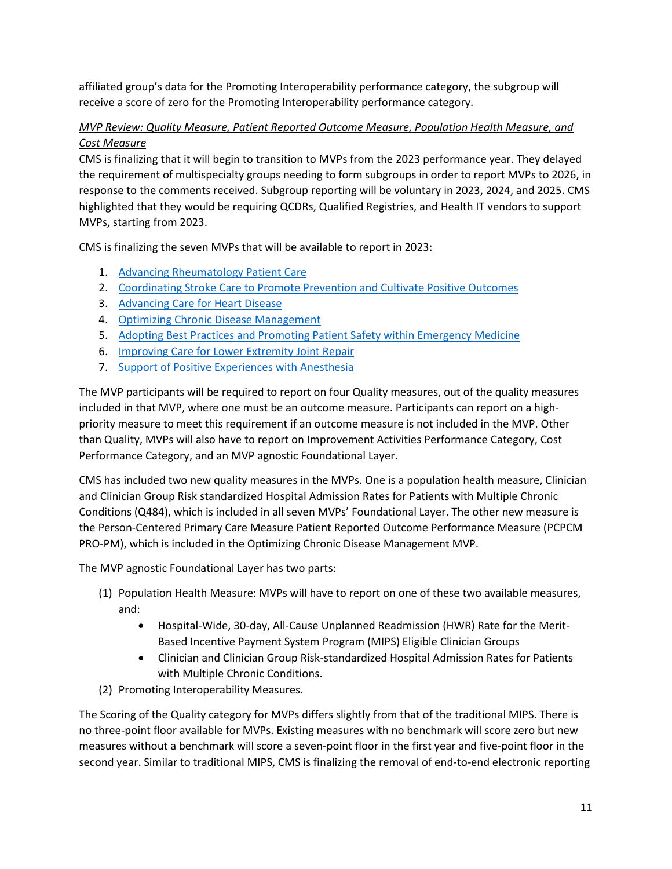affiliated group's data for the Promoting Interoperability performance category, the subgroup will receive a score of zero for the Promoting Interoperability performance category.

## *MVP Review: Quality Measure, Patient Reported Outcome Measure, Population Health Measure, and Cost Measure*

CMS is finalizing that it will begin to transition to MVPs from the 2023 performance year. They delayed the requirement of multispecialty groups needing to form subgroups in order to report MVPs to 2026, in response to the comments received. Subgroup reporting will be voluntary in 2023, 2024, and 2025. CMS highlighted that they would be requiring QCDRs, Qualified Registries, and Health IT vendors to support MVPs, starting from 2023.

CMS is finalizing the seven MVPs that will be available to report in 2023:

- 1. [Advancing Rheumatology Patient Care](https://www.federalregister.gov/d/2021-23972/page-66002)
- 2. [Coordinating Stroke Care to Promote Prevention and Cultivate Positive Outcomes](https://www.federalregister.gov/d/2021-23972/page-66007)
- 3. [Advancing Care for Heart Disease](https://www.federalregister.gov/d/2021-23972/page-66014)
- 4. [Optimizing Chronic Disease Management](https://www.federalregister.gov/d/2021-23972/page-66021)
- 5. [Adopting Best Practices and Promoting Patient Safety within Emergency Medicine](https://www.federalregister.gov/d/2021-23972/page-66024)
- 6. [Improving Care for Lower Extremity Joint Repair](https://www.federalregister.gov/d/2021-23972/page-66027)
- 7. [Support of Positive Experiences with Anesthesia](https://www.federalregister.gov/d/2021-23972/page-66030)

The MVP participants will be required to report on four Quality measures, out of the quality measures included in that MVP, where one must be an outcome measure. Participants can report on a highpriority measure to meet this requirement if an outcome measure is not included in the MVP. Other than Quality, MVPs will also have to report on Improvement Activities Performance Category, Cost Performance Category, and an MVP agnostic Foundational Layer.

CMS has included two new quality measures in the MVPs. One is a population health measure, Clinician and Clinician Group Risk standardized Hospital Admission Rates for Patients with Multiple Chronic Conditions (Q484), which is included in all seven MVPs' Foundational Layer. The other new measure is the Person-Centered Primary Care Measure Patient Reported Outcome Performance Measure (PCPCM PRO-PM), which is included in the Optimizing Chronic Disease Management MVP.

The MVP agnostic Foundational Layer has two parts:

- (1) Population Health Measure: MVPs will have to report on one of these two available measures, and:
	- Hospital-Wide, 30-day, All-Cause Unplanned Readmission (HWR) Rate for the Merit-Based Incentive Payment System Program (MIPS) Eligible Clinician Groups
	- Clinician and Clinician Group Risk-standardized Hospital Admission Rates for Patients with Multiple Chronic Conditions.
- (2) Promoting Interoperability Measures.

The Scoring of the Quality category for MVPs differs slightly from that of the traditional MIPS. There is no three-point floor available for MVPs. Existing measures with no benchmark will score zero but new measures without a benchmark will score a seven-point floor in the first year and five-point floor in the second year. Similar to traditional MIPS, CMS is finalizing the removal of end-to-end electronic reporting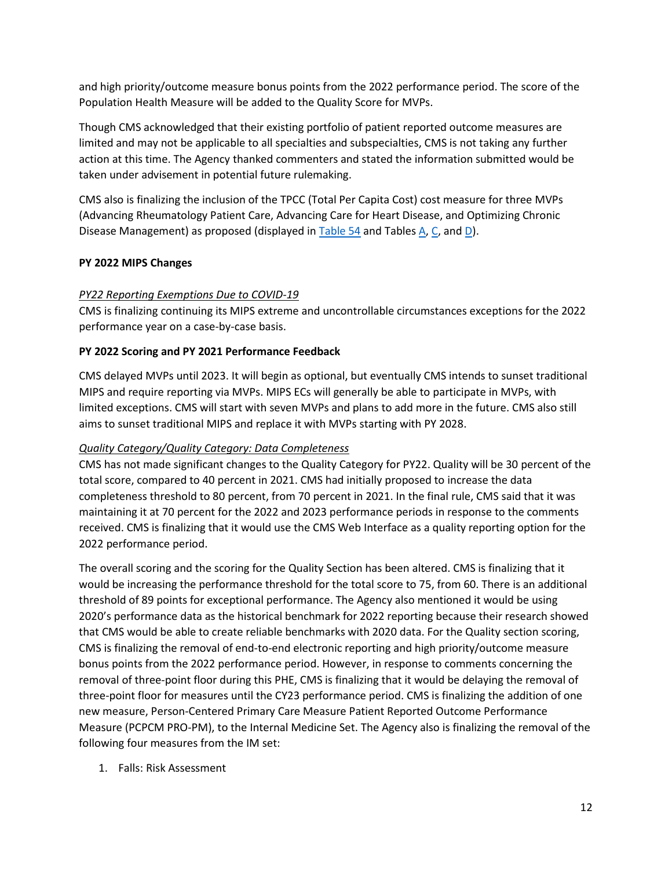and high priority/outcome measure bonus points from the 2022 performance period. The score of the Population Health Measure will be added to the Quality Score for MVPs.

Though CMS acknowledged that their existing portfolio of patient reported outcome measures are limited and may not be applicable to all specialties and subspecialties, CMS is not taking any further action at this time. The Agency thanked commenters and stated the information submitted would be taken under advisement in potential future rulemaking.

CMS also is finalizing the inclusion of the TPCC (Total Per Capita Cost) cost measure for three MVPs (Advancing Rheumatology Patient Care, Advancing Care for Heart Disease, and Optimizing Chronic Disease Management) as proposed (displayed i[n Table 54](https://www.federalregister.gov/documents/2021/11/19/2021-23972/medicare-program-cy-2022-payment-policies-under-the-physician-fee-schedule-and-other-changes-to-part#page-65461) and Tables  $A, C$  $A, C$ , an[d D\)](https://www.federalregister.gov/documents/2021/11/19/2021-23972/medicare-program-cy-2022-payment-policies-under-the-physician-fee-schedule-and-other-changes-to-part#page-65892).

## **PY 2022 MIPS Changes**

### *PY22 Reporting Exemptions Due to COVID-19*

CMS is finalizing continuing its MIPS extreme and uncontrollable circumstances exceptions for the 2022 performance year on a case-by-case basis.

### **PY 2022 Scoring and PY 2021 Performance Feedback**

CMS delayed MVPs until 2023. It will begin as optional, but eventually CMS intends to sunset traditional MIPS and require reporting via MVPs. MIPS ECs will generally be able to participate in MVPs, with limited exceptions. CMS will start with seven MVPs and plans to add more in the future. CMS also still aims to sunset traditional MIPS and replace it with MVPs starting with PY 2028.

## *Quality Category/Quality Category: Data Completeness*

CMS has not made significant changes to the Quality Category for PY22. Quality will be 30 percent of the total score, compared to 40 percent in 2021. CMS had initially proposed to increase the data completeness threshold to 80 percent, from 70 percent in 2021. In the final rule, CMS said that it was maintaining it at 70 percent for the 2022 and 2023 performance periods in response to the comments received. CMS is finalizing that it would use the CMS Web Interface as a quality reporting option for the 2022 performance period.

The overall scoring and the scoring for the Quality Section has been altered. CMS is finalizing that it would be increasing the performance threshold for the total score to 75, from 60. There is an additional threshold of 89 points for exceptional performance. The Agency also mentioned it would be using 2020's performance data as the historical benchmark for 2022 reporting because their research showed that CMS would be able to create reliable benchmarks with 2020 data. For the Quality section scoring, CMS is finalizing the removal of end-to-end electronic reporting and high priority/outcome measure bonus points from the 2022 performance period. However, in response to comments concerning the removal of three-point floor during this PHE, CMS is finalizing that it would be delaying the removal of three-point floor for measures until the CY23 performance period. CMS is finalizing the addition of one new measure, Person-Centered Primary Care Measure Patient Reported Outcome Performance Measure (PCPCM PRO-PM), to the Internal Medicine Set. The Agency also is finalizing the removal of the following four measures from the IM set:

1. Falls: Risk Assessment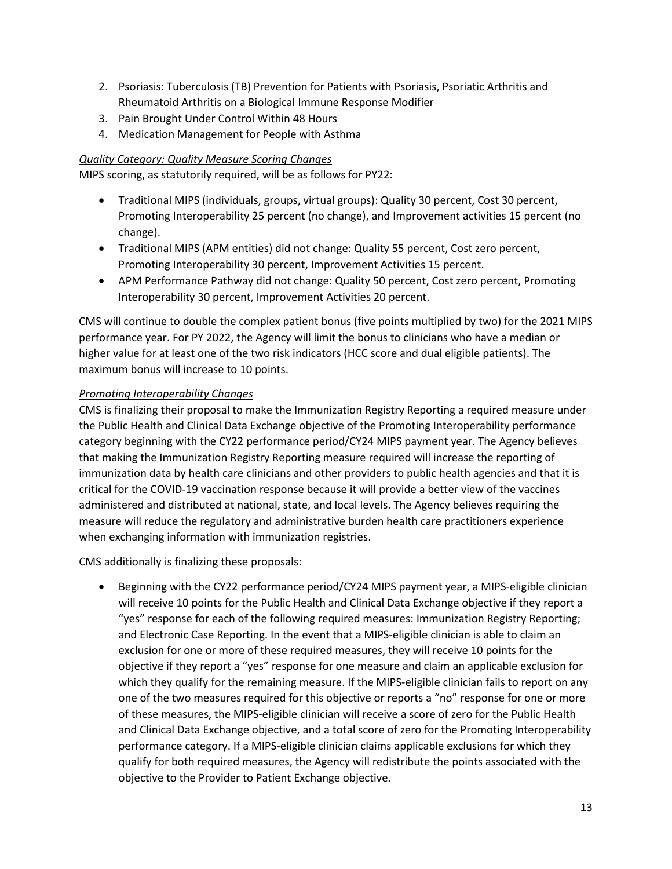- 2. Psoriasis: Tuberculosis (TB) Prevention for Patients with Psoriasis, Psoriatic Arthritis and Rheumatoid Arthritis on a Biological Immune Response Modifier
- 3. Pain Brought Under Control Within 48 Hours
- 4. Medication Management for People with Asthma

### *Quality Category: Quality Measure Scoring Changes*

MIPS scoring, as statutorily required, will be as follows for PY22:

- Traditional MIPS (individuals, groups, virtual groups): Quality 30 percent, Cost 30 percent, Promoting Interoperability 25 percent (no change), and Improvement activities 15 percent (no change).
- Traditional MIPS (APM entities) did not change: Quality 55 percent, Cost zero percent, Promoting Interoperability 30 percent, Improvement Activities 15 percent.
- APM Performance Pathway did not change: Quality 50 percent, Cost zero percent, Promoting Interoperability 30 percent, Improvement Activities 20 percent.

CMS will continue to double the complex patient bonus (five points multiplied by two) for the 2021 MIPS performance year. For PY 2022, the Agency will limit the bonus to clinicians who have a median or higher value for at least one of the two risk indicators (HCC score and dual eligible patients). The maximum bonus will increase to 10 points.

### *Promoting Interoperability Changes*

CMS is finalizing their proposal to make the Immunization Registry Reporting a required measure under the Public Health and Clinical Data Exchange objective of the Promoting Interoperability performance category beginning with the CY22 performance period/CY24 MIPS payment year. The Agency believes that making the Immunization Registry Reporting measure required will increase the reporting of immunization data by health care clinicians and other providers to public health agencies and that it is critical for the COVID-19 vaccination response because it will provide a better view of the vaccines administered and distributed at national, state, and local levels. The Agency believes requiring the measure will reduce the regulatory and administrative burden health care practitioners experience when exchanging information with immunization registries.

CMS additionally is finalizing these proposals:

• Beginning with the CY22 performance period/CY24 MIPS payment year, a MIPS-eligible clinician will receive 10 points for the Public Health and Clinical Data Exchange objective if they report a "yes" response for each of the following required measures: Immunization Registry Reporting; and Electronic Case Reporting. In the event that a MIPS-eligible clinician is able to claim an exclusion for one or more of these required measures, they will receive 10 points for the objective if they report a "yes" response for one measure and claim an applicable exclusion for which they qualify for the remaining measure. If the MIPS-eligible clinician fails to report on any one of the two measures required for this objective or reports a "no" response for one or more of these measures, the MIPS-eligible clinician will receive a score of zero for the Public Health and Clinical Data Exchange objective, and a total score of zero for the Promoting Interoperability performance category. If a MIPS-eligible clinician claims applicable exclusions for which they qualify for both required measures, the Agency will redistribute the points associated with the objective to the Provider to Patient Exchange objective.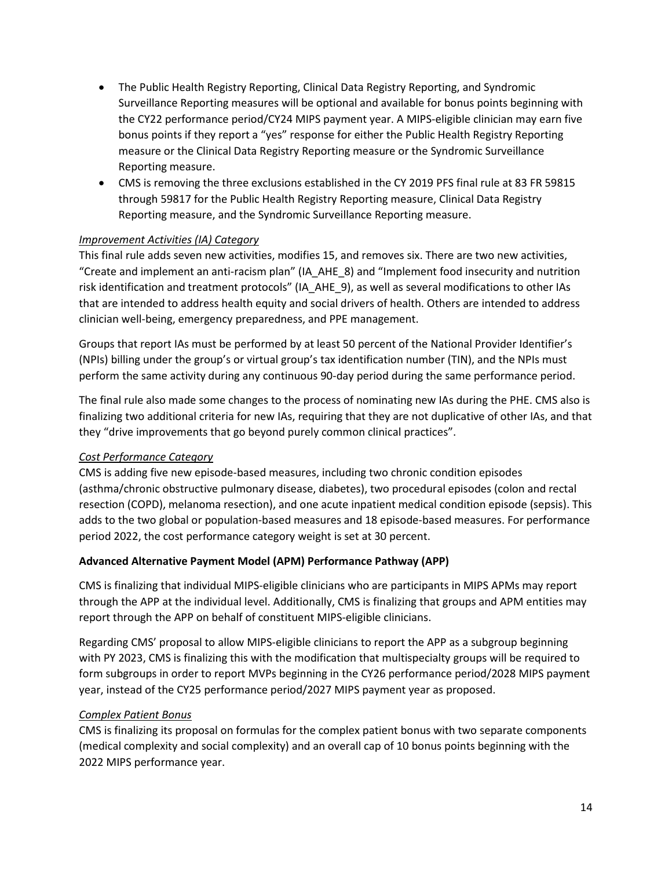- The Public Health Registry Reporting, Clinical Data Registry Reporting, and Syndromic Surveillance Reporting measures will be optional and available for bonus points beginning with the CY22 performance period/CY24 MIPS payment year. A MIPS-eligible clinician may earn five bonus points if they report a "yes" response for either the Public Health Registry Reporting measure or the Clinical Data Registry Reporting measure or the Syndromic Surveillance Reporting measure.
- CMS is removing the three exclusions established in the CY 2019 PFS final rule at 83 FR 59815 through 59817 for the Public Health Registry Reporting measure, Clinical Data Registry Reporting measure, and the Syndromic Surveillance Reporting measure.

## *Improvement Activities (IA) Category*

This final rule adds seven new activities, modifies 15, and removes six. There are two new activities, "Create and implement an anti-racism plan" (IA\_AHE\_8) and "Implement food insecurity and nutrition risk identification and treatment protocols" (IA\_AHE\_9), as well as several modifications to other IAs that are intended to address health equity and social drivers of health. Others are intended to address clinician well-being, emergency preparedness, and PPE management.

Groups that report IAs must be performed by at least 50 percent of the National Provider Identifier's (NPIs) billing under the group's or virtual group's tax identification number (TIN), and the NPIs must perform the same activity during any continuous 90-day period during the same performance period.

The final rule also made some changes to the process of nominating new IAs during the PHE. CMS also is finalizing two additional criteria for new IAs, requiring that they are not duplicative of other IAs, and that they "drive improvements that go beyond purely common clinical practices".

### *Cost Performance Category*

CMS is adding five new episode-based measures, including two chronic condition episodes (asthma/chronic obstructive pulmonary disease, diabetes), two procedural episodes (colon and rectal resection (COPD), melanoma resection), and one acute inpatient medical condition episode (sepsis). This adds to the two global or population-based measures and 18 episode-based measures. For performance period 2022, the cost performance category weight is set at 30 percent.

## **Advanced Alternative Payment Model (APM) Performance Pathway (APP)**

CMS is finalizing that individual MIPS-eligible clinicians who are participants in MIPS APMs may report through the APP at the individual level. Additionally, CMS is finalizing that groups and APM entities may report through the APP on behalf of constituent MIPS-eligible clinicians.

Regarding CMS' proposal to allow MIPS-eligible clinicians to report the APP as a subgroup beginning with PY 2023, CMS is finalizing this with the modification that multispecialty groups will be required to form subgroups in order to report MVPs beginning in the CY26 performance period/2028 MIPS payment year, instead of the CY25 performance period/2027 MIPS payment year as proposed.

## *Complex Patient Bonus*

CMS is finalizing its proposal on formulas for the complex patient bonus with two separate components (medical complexity and social complexity) and an overall cap of 10 bonus points beginning with the 2022 MIPS performance year.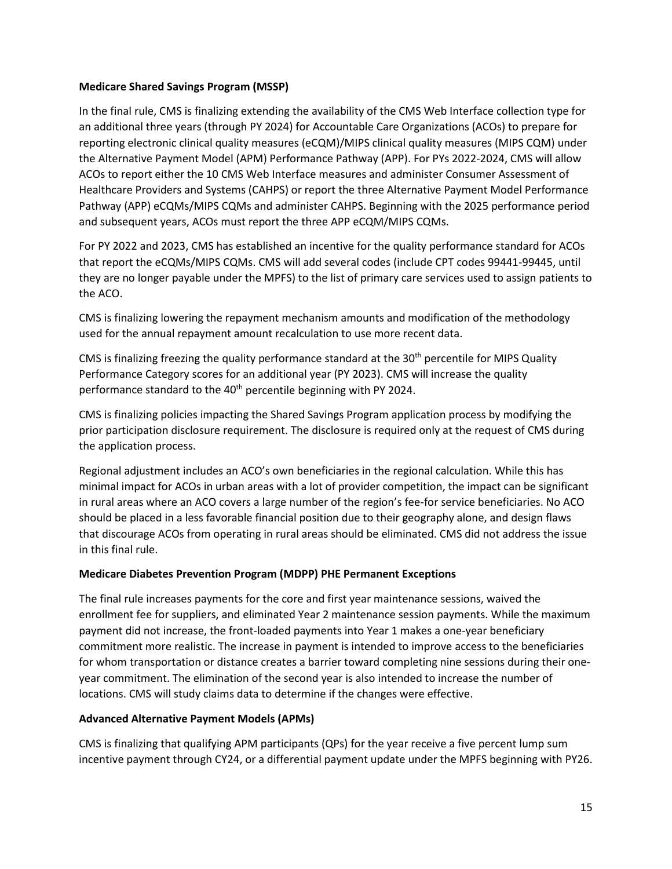### **Medicare Shared Savings Program (MSSP)**

In the final rule, CMS is finalizing extending the availability of the CMS Web Interface collection type for an additional three years (through PY 2024) for Accountable Care Organizations (ACOs) to prepare for reporting electronic clinical quality measures (eCQM)/MIPS clinical quality measures (MIPS CQM) under the Alternative Payment Model (APM) Performance Pathway (APP). For PYs 2022-2024, CMS will allow ACOs to report either the 10 CMS Web Interface measures and administer Consumer Assessment of Healthcare Providers and Systems (CAHPS) or report the three Alternative Payment Model Performance Pathway (APP) eCQMs/MIPS CQMs and administer CAHPS. Beginning with the 2025 performance period and subsequent years, ACOs must report the three APP eCQM/MIPS CQMs.

For PY 2022 and 2023, CMS has established an incentive for the quality performance standard for ACOs that report the eCQMs/MIPS CQMs. CMS will add several codes (include CPT codes 99441-99445, until they are no longer payable under the MPFS) to the list of primary care services used to assign patients to the ACO.

CMS is finalizing lowering the repayment mechanism amounts and modification of the methodology used for the annual repayment amount recalculation to use more recent data.

CMS is finalizing freezing the quality performance standard at the  $30<sup>th</sup>$  percentile for MIPS Quality Performance Category scores for an additional year (PY 2023). CMS will increase the quality performance standard to the 40<sup>th</sup> percentile beginning with PY 2024.

CMS is finalizing policies impacting the Shared Savings Program application process by modifying the prior participation disclosure requirement. The disclosure is required only at the request of CMS during the application process.

Regional adjustment includes an ACO's own beneficiaries in the regional calculation. While this has minimal impact for ACOs in urban areas with a lot of provider competition, the impact can be significant in rural areas where an ACO covers a large number of the region's fee-for service beneficiaries. No ACO should be placed in a less favorable financial position due to their geography alone, and design flaws that discourage ACOs from operating in rural areas should be eliminated. CMS did not address the issue in this final rule.

## **Medicare Diabetes Prevention Program (MDPP) PHE Permanent Exceptions**

The final rule increases payments for the core and first year maintenance sessions, waived the enrollment fee for suppliers, and eliminated Year 2 maintenance session payments. While the maximum payment did not increase, the front-loaded payments into Year 1 makes a one-year beneficiary commitment more realistic. The increase in payment is intended to improve access to the beneficiaries for whom transportation or distance creates a barrier toward completing nine sessions during their oneyear commitment. The elimination of the second year is also intended to increase the number of locations. CMS will study claims data to determine if the changes were effective.

## **Advanced Alternative Payment Models (APMs)**

CMS is finalizing that qualifying APM participants (QPs) for the year receive a five percent lump sum incentive payment through CY24, or a differential payment update under the MPFS beginning with PY26.